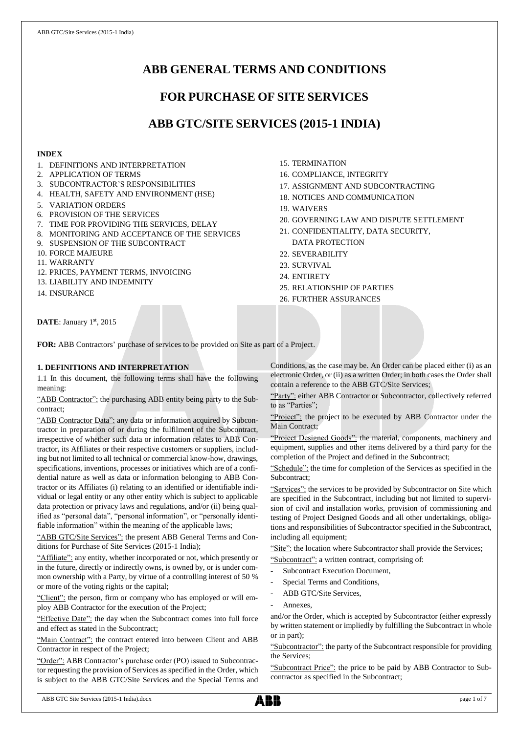# **ABB GENERAL TERMS AND CONDITIONS**

# **FOR PURCHASE OF SITE SERVICES**

# **ABB GTC/SITE SERVICES (2015-1 INDIA)**

# **INDEX**

- 1. DEFINITIONS AND INTERPRETATION
- 2. APPLICATION OF TERMS
- 3. SUBCONTRACTOR'S RESPONSIBILITIES
- 4. HEALTH, SAFETY AND ENVIRONMENT (HSE)
- 5. VARIATION ORDERS
- 6. PROVISION OF THE SERVICES
- 7. TIME FOR PROVIDING THE SERVICES, DELAY
- 8. MONITORING AND ACCEPTANCE OF THE SERVICES
- 9. SUSPENSION OF THE SUBCONTRACT
- 10. FORCE MAJEURE
- 11. WARRANTY
- 12. PRICES, PAYMENT TERMS, INVOICING
- 13. LIABILITY AND INDEMNITY
- 14. INSURANCE
- 15. TERMINATION
- 16. COMPLIANCE, INTEGRITY
- 17. ASSIGNMENT AND SUBCONTRACTING
- 18. NOTICES AND COMMUNICATION
- 19. WAIVERS
- 20. GOVERNING LAW AND DISPUTE SETTLEMENT
- 21. CONFIDENTIALITY, DATA SECURITY, DATA PROTECTION
- 22. SEVERABILITY
- 23. SURVIVAL
- 24. ENTIRETY
- 25. RELATIONSHIP OF PARTIES
- 26. FURTHER ASSURANCES

DATE: January 1st, 2015

**FOR:** ABB Contractors' purchase of services to be provided on Site as part of a Project.

# **1. DEFINITIONS AND INTERPRETATION**

1.1 In this document, the following terms shall have the following meaning:

"ABB Contractor": the purchasing ABB entity being party to the Subcontract;

"ABB Contractor Data": any data or information acquired by Subcontractor in preparation of or during the fulfilment of the Subcontract, irrespective of whether such data or information relates to ABB Contractor, its Affiliates or their respective customers or suppliers, including but not limited to all technical or commercial know-how, drawings, specifications, inventions, processes or initiatives which are of a confidential nature as well as data or information belonging to ABB Contractor or its Affiliates (i) relating to an identified or identifiable individual or legal entity or any other entity which is subject to applicable data protection or privacy laws and regulations, and/or (ii) being qualified as "personal data", "personal information", or "personally identifiable information" within the meaning of the applicable laws;

"ABB GTC/Site Services": the present ABB General Terms and Conditions for Purchase of Site Services (2015-1 India);

"Affiliate": any entity, whether incorporated or not, which presently or in the future, directly or indirectly owns, is owned by, or is under common ownership with a Party, by virtue of a controlling interest of 50 % or more of the voting rights or the capital;

"Client": the person, firm or company who has employed or will employ ABB Contractor for the execution of the Project;

"Effective Date": the day when the Subcontract comes into full force and effect as stated in the Subcontract;

"Main Contract": the contract entered into between Client and ABB Contractor in respect of the Project;

"Order": ABB Contractor's purchase order (PO) issued to Subcontractor requesting the provision of Services as specified in the Order, which is subject to the ABB GTC/Site Services and the Special Terms and Conditions, as the case may be. An Order can be placed either (i) as an electronic Order, or (ii) as a written Order; in both cases the Order shall contain a reference to the ABB GTC/Site Services;

"Party": either ABB Contractor or Subcontractor, collectively referred to as "Parties";

"Project": the project to be executed by ABB Contractor under the Main Contract;

"Project Designed Goods": the material, components, machinery and equipment, supplies and other items delivered by a third party for the completion of the Project and defined in the Subcontract;

"Schedule": the time for completion of the Services as specified in the Subcontract;

"Services": the services to be provided by Subcontractor on Site which are specified in the Subcontract, including but not limited to supervision of civil and installation works, provision of commissioning and testing of Project Designed Goods and all other undertakings, obligations and responsibilities of Subcontractor specified in the Subcontract, including all equipment;

"Site": the location where Subcontractor shall provide the Services; "Subcontract": a written contract, comprising of:

- Subcontract Execution Document,
- Special Terms and Conditions,
- ABB GTC/Site Services,
- Annexes.

and/or the Order, which is accepted by Subcontractor (either expressly by written statement or impliedly by fulfilling the Subcontract in whole or in part);

"Subcontractor": the party of the Subcontract responsible for providing the Services;

"Subcontract Price": the price to be paid by ABB Contractor to Subcontractor as specified in the Subcontract;

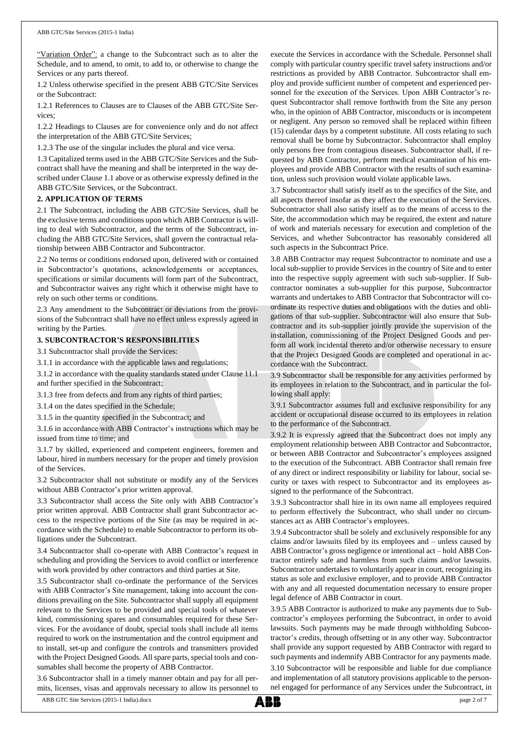"Variation Order": a change to the Subcontract such as to alter the Schedule, and to amend, to omit, to add to, or otherwise to change the Services or any parts thereof.

1.2 Unless otherwise specified in the present ABB GTC/Site Services or the Subcontract:

1.2.1 References to Clauses are to Clauses of the ABB GTC/Site Services;

1.2.2 Headings to Clauses are for convenience only and do not affect the interpretation of the ABB GTC/Site Services;

1.2.3 The use of the singular includes the plural and vice versa.

1.3 Capitalized terms used in the ABB GTC/Site Services and the Subcontract shall have the meaning and shall be interpreted in the way described under Clause 1.1 above or as otherwise expressly defined in the ABB GTC/Site Services, or the Subcontract.

# **2. APPLICATION OF TERMS**

2.1 The Subcontract, including the ABB GTC/Site Services, shall be the exclusive terms and conditions upon which ABB Contractor is willing to deal with Subcontractor, and the terms of the Subcontract, including the ABB GTC/Site Services, shall govern the contractual relationship between ABB Contractor and Subcontractor.

2.2 No terms or conditions endorsed upon, delivered with or contained in Subcontractor's quotations, acknowledgements or acceptances, specifications or similar documents will form part of the Subcontract, and Subcontractor waives any right which it otherwise might have to rely on such other terms or conditions.

2.3 Any amendment to the Subcontract or deviations from the provisions of the Subcontract shall have no effect unless expressly agreed in writing by the Parties.

# **3. SUBCONTRACTOR'S RESPONSIBILITIES**

3.1 Subcontractor shall provide the Services:

3.1.1 in accordance with the applicable laws and regulations;

3.1.2 in accordance with the quality standards stated under Clause 11.1 and further specified in the Subcontract;

3.1.3 free from defects and from any rights of third parties;

3.1.4 on the dates specified in the Schedule;

3.1.5 in the quantity specified in the Subcontract; and

3.1.6 in accordance with ABB Contractor's instructions which may be issued from time to time; and

3.1.7 by skilled, experienced and competent engineers, foremen and labour, hired in numbers necessary for the proper and timely provision of the Services.

3.2 Subcontractor shall not substitute or modify any of the Services without ABB Contractor's prior written approval.

3.3 Subcontractor shall access the Site only with ABB Contractor's prior written approval. ABB Contractor shall grant Subcontractor access to the respective portions of the Site (as may be required in accordance with the Schedule) to enable Subcontractor to perform its obligations under the Subcontract.

3.4 Subcontractor shall co-operate with ABB Contractor's request in scheduling and providing the Services to avoid conflict or interference with work provided by other contractors and third parties at Site.

3.5 Subcontractor shall co-ordinate the performance of the Services with ABB Contractor's Site management, taking into account the conditions prevailing on the Site. Subcontractor shall supply all equipment relevant to the Services to be provided and special tools of whatever kind, commissioning spares and consumables required for these Services. For the avoidance of doubt, special tools shall include all items required to work on the instrumentation and the control equipment and to install, set-up and configure the controls and transmitters provided with the Project Designed Goods. All spare parts, special tools and consumables shall become the property of ABB Contractor.

3.6 Subcontractor shall in a timely manner obtain and pay for all permits, licenses, visas and approvals necessary to allow its personnel to execute the Services in accordance with the Schedule. Personnel shall comply with particular country specific travel safety instructions and/or restrictions as provided by ABB Contractor. Subcontractor shall employ and provide sufficient number of competent and experienced personnel for the execution of the Services. Upon ABB Contractor's request Subcontractor shall remove forthwith from the Site any person who, in the opinion of ABB Contractor, misconducts or is incompetent or negligent. Any person so removed shall be replaced within fifteen (15) calendar days by a competent substitute. All costs relating to such removal shall be borne by Subcontractor. Subcontractor shall employ only persons free from contagious diseases. Subcontractor shall, if requested by ABB Contractor, perform medical examination of his employees and provide ABB Contractor with the results of such examination, unless such provision would violate applicable laws.

3.7 Subcontractor shall satisfy itself as to the specifics of the Site, and all aspects thereof insofar as they affect the execution of the Services. Subcontractor shall also satisfy itself as to the means of access to the Site, the accommodation which may be required, the extent and nature of work and materials necessary for execution and completion of the Services, and whether Subcontractor has reasonably considered all such aspects in the Subcontract Price.

3.8 ABB Contractor may request Subcontractor to nominate and use a local sub-supplier to provide Services in the country of Site and to enter into the respective supply agreement with such sub-supplier. If Subcontractor nominates a sub-supplier for this purpose, Subcontractor warrants and undertakes to ABB Contractor that Subcontractor will coordinate its respective duties and obligations with the duties and obligations of that sub-supplier. Subcontractor will also ensure that Subcontractor and its sub-supplier jointly provide the supervision of the installation, commissioning of the Project Designed Goods and perform all work incidental thereto and/or otherwise necessary to ensure that the Project Designed Goods are completed and operational in accordance with the Subcontract.

3.9 Subcontractor shall be responsible for any activities performed by its employees in relation to the Subcontract, and in particular the following shall apply:

3.9.1 Subcontractor assumes full and exclusive responsibility for any accident or occupational disease occurred to its employees in relation to the performance of the Subcontract.

3.9.2 It is expressly agreed that the Subcontract does not imply any employment relationship between ABB Contractor and Subcontractor, or between ABB Contractor and Subcontractor's employees assigned to the execution of the Subcontract. ABB Contractor shall remain free of any direct or indirect responsibility or liability for labour, social security or taxes with respect to Subcontractor and its employees assigned to the performance of the Subcontract.

3.9.3 Subcontractor shall hire in its own name all employees required to perform effectively the Subcontract, who shall under no circumstances act as ABB Contractor's employees.

3.9.4 Subcontractor shall be solely and exclusively responsible for any claims and/or lawsuits filed by its employees and – unless caused by ABB Contractor's gross negligence or intentional act – hold ABB Contractor entirely safe and harmless from such claims and/or lawsuits. Subcontractor undertakes to voluntarily appear in court, recognizing its status as sole and exclusive employer, and to provide ABB Contractor with any and all requested documentation necessary to ensure proper legal defence of ABB Contractor in court.

3.9.5 ABB Contractor is authorized to make any payments due to Subcontractor's employees performing the Subcontract, in order to avoid lawsuits. Such payments may be made through withholding Subcontractor's credits, through offsetting or in any other way. Subcontractor shall provide any support requested by ABB Contractor with regard to such payments and indemnify ABB Contractor for any payments made.

3.10 Subcontractor will be responsible and liable for due compliance and implementation of all statutory provisions applicable to the personnel engaged for performance of any Services under the Subcontract, in

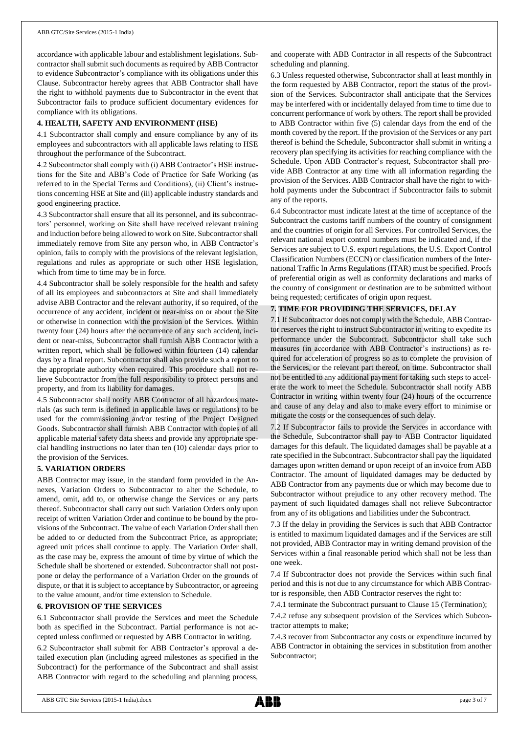accordance with applicable labour and establishment legislations. Subcontractor shall submit such documents as required by ABB Contractor to evidence Subcontractor's compliance with its obligations under this Clause. Subcontractor hereby agrees that ABB Contractor shall have the right to withhold payments due to Subcontractor in the event that Subcontractor fails to produce sufficient documentary evidences for compliance with its obligations.

# **4. HEALTH, SAFETY AND ENVIRONMENT (HSE)**

4.1 Subcontractor shall comply and ensure compliance by any of its employees and subcontractors with all applicable laws relating to HSE throughout the performance of the Subcontract.

4.2 Subcontractor shall comply with (i) ABB Contractor's HSE instructions for the Site and ABB's Code of Practice for Safe Working (as referred to in the Special Terms and Conditions), (ii) Client's instructions concerning HSE at Site and (iii) applicable industry standards and good engineering practice.

4.3 Subcontractor shall ensure that all its personnel, and its subcontractors' personnel, working on Site shall have received relevant training and induction before being allowed to work on Site. Subcontractor shall immediately remove from Site any person who, in ABB Contractor's opinion, fails to comply with the provisions of the relevant legislation, regulations and rules as appropriate or such other HSE legislation, which from time to time may be in force.

4.4 Subcontractor shall be solely responsible for the health and safety of all its employees and subcontractors at Site and shall immediately advise ABB Contractor and the relevant authority, if so required, of the occurrence of any accident, incident or near-miss on or about the Site or otherwise in connection with the provision of the Services. Within twenty four (24) hours after the occurrence of any such accident, incident or near-miss, Subcontractor shall furnish ABB Contractor with a written report, which shall be followed within fourteen (14) calendar days by a final report. Subcontractor shall also provide such a report to the appropriate authority when required. This procedure shall not relieve Subcontractor from the full responsibility to protect persons and property, and from its liability for damages.

4.5 Subcontractor shall notify ABB Contractor of all hazardous materials (as such term is defined in applicable laws or regulations) to be used for the commissioning and/or testing of the Project Designed Goods. Subcontractor shall furnish ABB Contractor with copies of all applicable material safety data sheets and provide any appropriate special handling instructions no later than ten (10) calendar days prior to the provision of the Services.

## **5. VARIATION ORDERS**

ABB Contractor may issue, in the standard form provided in the Annexes, Variation Orders to Subcontractor to alter the Schedule, to amend, omit, add to, or otherwise change the Services or any parts thereof. Subcontractor shall carry out such Variation Orders only upon receipt of written Variation Order and continue to be bound by the provisions of the Subcontract. The value of each Variation Order shall then be added to or deducted from the Subcontract Price, as appropriate; agreed unit prices shall continue to apply. The Variation Order shall, as the case may be, express the amount of time by virtue of which the Schedule shall be shortened or extended. Subcontractor shall not postpone or delay the performance of a Variation Order on the grounds of dispute, or that it is subject to acceptance by Subcontractor, or agreeing to the value amount, and/or time extension to Schedule.

# **6. PROVISION OF THE SERVICES**

6.1 Subcontractor shall provide the Services and meet the Schedule both as specified in the Subcontract. Partial performance is not accepted unless confirmed or requested by ABB Contractor in writing.

6.2 Subcontractor shall submit for ABB Contractor's approval a detailed execution plan (including agreed milestones as specified in the Subcontract) for the performance of the Subcontract and shall assist ABB Contractor with regard to the scheduling and planning process,

and cooperate with ABB Contractor in all respects of the Subcontract scheduling and planning.

6.3 Unless requested otherwise, Subcontractor shall at least monthly in the form requested by ABB Contractor, report the status of the provision of the Services. Subcontractor shall anticipate that the Services may be interfered with or incidentally delayed from time to time due to concurrent performance of work by others. The report shall be provided to ABB Contractor within five (5) calendar days from the end of the month covered by the report. If the provision of the Services or any part thereof is behind the Schedule, Subcontractor shall submit in writing a recovery plan specifying its activities for reaching compliance with the Schedule. Upon ABB Contractor's request, Subcontractor shall provide ABB Contractor at any time with all information regarding the provision of the Services. ABB Contractor shall have the right to withhold payments under the Subcontract if Subcontractor fails to submit any of the reports.

6.4 Subcontractor must indicate latest at the time of acceptance of the Subcontract the customs tariff numbers of the country of consignment and the countries of origin for all Services. For controlled Services, the relevant national export control numbers must be indicated and, if the Services are subject to U.S. export regulations, the U.S. Export Control Classification Numbers (ECCN) or classification numbers of the International Traffic In Arms Regulations (ITAR) must be specified. Proofs of preferential origin as well as conformity declarations and marks of the country of consignment or destination are to be submitted without being requested; certificates of origin upon request.

# **7. TIME FOR PROVIDING THE SERVICES, DELAY**

7.1 If Subcontractor does not comply with the Schedule, ABB Contractor reserves the right to instruct Subcontractor in writing to expedite its performance under the Subcontract. Subcontractor shall take such measures (in accordance with ABB Contractor's instructions) as required for acceleration of progress so as to complete the provision of the Services, or the relevant part thereof, on time. Subcontractor shall not be entitled to any additional payment for taking such steps to accelerate the work to meet the Schedule. Subcontractor shall notify ABB Contractor in writing within twenty four (24) hours of the occurrence and cause of any delay and also to make every effort to minimise or mitigate the costs or the consequences of such delay.

7.2 If Subcontractor fails to provide the Services in accordance with the Schedule, Subcontractor shall pay to ABB Contractor liquidated damages for this default. The liquidated damages shall be payable at a rate specified in the Subcontract. Subcontractor shall pay the liquidated damages upon written demand or upon receipt of an invoice from ABB Contractor. The amount of liquidated damages may be deducted by ABB Contractor from any payments due or which may become due to Subcontractor without prejudice to any other recovery method. The payment of such liquidated damages shall not relieve Subcontractor from any of its obligations and liabilities under the Subcontract.

7.3 If the delay in providing the Services is such that ABB Contractor is entitled to maximum liquidated damages and if the Services are still not provided, ABB Contractor may in writing demand provision of the Services within a final reasonable period which shall not be less than one week.

7.4 If Subcontractor does not provide the Services within such final period and this is not due to any circumstance for which ABB Contractor is responsible, then ABB Contractor reserves the right to:

7.4.1 terminate the Subcontract pursuant to Clause 15 (Termination);

7.4.2 refuse any subsequent provision of the Services which Subcontractor attempts to make;

7.4.3 recover from Subcontractor any costs or expenditure incurred by ABB Contractor in obtaining the services in substitution from another Subcontractor;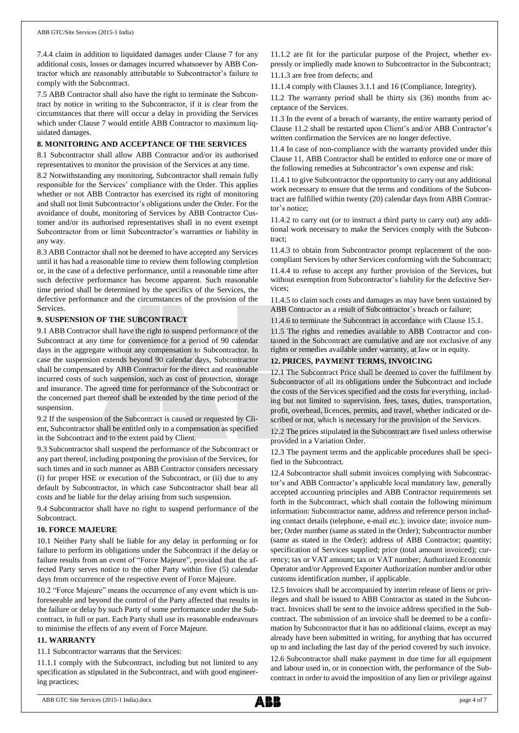7.4.4 claim in addition to liquidated damages under Clause 7 for any additional costs, losses or damages incurred whatsoever by ABB Contractor which are reasonably attributable to Subcontractor's failure to comply with the Subcontract.

7.5 ABB Contractor shall also have the right to terminate the Subcontract by notice in writing to the Subcontractor, if it is clear from the circumstances that there will occur a delay in providing the Services which under Clause 7 would entitle ABB Contractor to maximum liquidated damages.

# **8. MONITORING AND ACCEPTANCE OF THE SERVICES**

8.1 Subcontractor shall allow ABB Contractor and/or its authorised representatives to monitor the provision of the Services at any time.

8.2 Notwithstanding any monitoring, Subcontractor shall remain fully responsible for the Services' compliance with the Order. This applies whether or not ABB Contractor has exercised its right of monitoring and shall not limit Subcontractor's obligations under the Order. For the avoidance of doubt, monitoring of Services by ABB Contractor Customer and/or its authorised representatives shall in no event exempt Subcontractor from or limit Subcontractor's warranties or liability in any way.

8.3 ABB Contractor shall not be deemed to have accepted any Services until it has had a reasonable time to review them following completion or, in the case of a defective performance, until a reasonable time after such defective performance has become apparent. Such reasonable time period shall be determined by the specifics of the Services, the defective performance and the circumstances of the provision of the Services.

# **9. SUSPENSION OF THE SUBCONTRACT**

9.1 ABB Contractor shall have the right to suspend performance of the Subcontract at any time for convenience for a period of 90 calendar days in the aggregate without any compensation to Subcontractor. In case the suspension extends beyond 90 calendar days, Subcontractor shall be compensated by ABB Contractor for the direct and reasonable incurred costs of such suspension, such as cost of protection, storage and insurance. The agreed time for performance of the Subcontract or the concerned part thereof shall be extended by the time period of the suspension.

9.2 If the suspension of the Subcontract is caused or requested by Client, Subcontractor shall be entitled only to a compensation as specified in the Subcontract and to the extent paid by Client.

9.3 Subcontractor shall suspend the performance of the Subcontract or any part thereof, including postponing the provision of the Services, for such times and in such manner as ABB Contractor considers necessary (i) for proper HSE or execution of the Subcontract, or (ii) due to any default by Subcontractor, in which case Subcontractor shall bear all costs and be liable for the delay arising from such suspension.

9.4 Subcontractor shall have no right to suspend performance of the Subcontract.

## **10. FORCE MAJEURE**

10.1 Neither Party shall be liable for any delay in performing or for failure to perform its obligations under the Subcontract if the delay or failure results from an event of "Force Majeure", provided that the affected Party serves notice to the other Party within five (5) calendar days from occurrence of the respective event of Force Majeure.

10.2 "Force Majeure" means the occurrence of any event which is unforeseeable and beyond the control of the Party affected that results in the failure or delay by such Party of some performance under the Subcontract, in full or part. Each Party shall use its reasonable endeavours to minimise the effects of any event of Force Majeure.

## **11. WARRANTY**

11.1 Subcontractor warrants that the Services:

11.1.1 comply with the Subcontract, including but not limited to any specification as stipulated in the Subcontract, and with good engineering practices;

11.1.2 are fit for the particular purpose of the Project, whether expressly or impliedly made known to Subcontractor in the Subcontract; 11.1.3 are free from defects; and

11.1.4 comply with Clauses 3.1.1 and 16 (Compliance, Integrity).

11.2 The warranty period shall be thirty six (36) months from acceptance of the Services.

11.3 In the event of a breach of warranty, the entire warranty period of Clause 11.2 shall be restarted upon Client's and/or ABB Contractor's written confirmation the Services are no longer defective.

11.4 In case of non-compliance with the warranty provided under this Clause 11, ABB Contractor shall be entitled to enforce one or more of the following remedies at Subcontractor's own expense and risk:

11.4.1 to give Subcontractor the opportunity to carry out any additional work necessary to ensure that the terms and conditions of the Subcontract are fulfilled within twenty (20) calendar days from ABB Contractor's notice;

11.4.2 to carry out (or to instruct a third party to carry out) any additional work necessary to make the Services comply with the Subcontract;

11.4.3 to obtain from Subcontractor prompt replacement of the noncompliant Services by other Services conforming with the Subcontract; 11.4.4 to refuse to accept any further provision of the Services, but without exemption from Subcontractor's liability for the defective Services;

11.4.5 to claim such costs and damages as may have been sustained by ABB Contractor as a result of Subcontractor's breach or failure;

11.4.6 to terminate the Subcontract in accordance with Clause 15.1.

11.5 The rights and remedies available to ABB Contractor and contained in the Subcontract are cumulative and are not exclusive of any rights or remedies available under warranty, at law or in equity.

# **12. PRICES, PAYMENT TERMS, INVOICING**

12.1 The Subcontract Price shall be deemed to cover the fulfilment by Subcontractor of all its obligations under the Subcontract and include the costs of the Services specified and the costs for everything, including but not limited to supervision, fees, taxes, duties, transportation, profit, overhead, licences, permits, and travel, whether indicated or described or not, which is necessary for the provision of the Services.

12.2 The prices stipulated in the Subcontract are fixed unless otherwise provided in a Variation Order.

12.3 The payment terms and the applicable procedures shall be specified in the Subcontract.

12.4 Subcontractor shall submit invoices complying with Subcontractor's and ABB Contractor's applicable local mandatory law, generally accepted accounting principles and ABB Contractor requirements set forth in the Subcontract, which shall contain the following minimum information: Subcontractor name, address and reference person including contact details (telephone, e-mail etc.); invoice date; invoice number; Order number (same as stated in the Order); Subcontractor number (same as stated in the Order); address of ABB Contractor; quantity; specification of Services supplied; price (total amount invoiced); currency; tax or VAT amount; tax or VAT number; Authorized Economic Operator and/or Approved Exporter Authorization number and/or other customs identification number, if applicable.

12.5 Invoices shall be accompanied by interim release of liens or privileges and shall be issued to ABB Contractor as stated in the Subcontract. Invoices shall be sent to the invoice address specified in the Subcontract. The submission of an invoice shall be deemed to be a confirmation by Subcontractor that it has no additional claims, except as may already have been submitted in writing, for anything that has occurred up to and including the last day of the period covered by such invoice. 12.6 Subcontractor shall make payment in due time for all equipment

and labour used in, or in connection with, the performance of the Subcontract in order to avoid the imposition of any lien or privilege against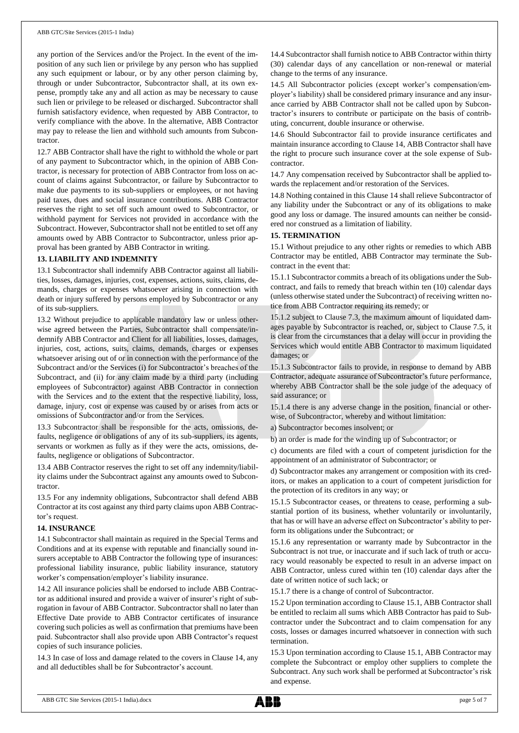any portion of the Services and/or the Project. In the event of the imposition of any such lien or privilege by any person who has supplied any such equipment or labour, or by any other person claiming by, through or under Subcontractor, Subcontractor shall, at its own expense, promptly take any and all action as may be necessary to cause such lien or privilege to be released or discharged. Subcontractor shall furnish satisfactory evidence, when requested by ABB Contractor, to verify compliance with the above. In the alternative, ABB Contractor may pay to release the lien and withhold such amounts from Subcontractor.

12.7 ABB Contractor shall have the right to withhold the whole or part of any payment to Subcontractor which, in the opinion of ABB Contractor, is necessary for protection of ABB Contractor from loss on account of claims against Subcontractor, or failure by Subcontractor to make due payments to its sub-suppliers or employees, or not having paid taxes, dues and social insurance contributions. ABB Contractor reserves the right to set off such amount owed to Subcontractor, or withhold payment for Services not provided in accordance with the Subcontract. However, Subcontractor shall not be entitled to set off any amounts owed by ABB Contractor to Subcontractor, unless prior approval has been granted by ABB Contractor in writing.

#### **13. LIABILITY AND INDEMNITY**

13.1 Subcontractor shall indemnify ABB Contractor against all liabilities, losses, damages, injuries, cost, expenses, actions, suits, claims, demands, charges or expenses whatsoever arising in connection with death or injury suffered by persons employed by Subcontractor or any of its sub-suppliers.

13.2 Without prejudice to applicable mandatory law or unless otherwise agreed between the Parties, Subcontractor shall compensate/indemnify ABB Contractor and Client for all liabilities, losses, damages, injuries, cost, actions, suits, claims, demands, charges or expenses whatsoever arising out of or in connection with the performance of the Subcontract and/or the Services (i) for Subcontractor's breaches of the Subcontract, and (ii) for any claim made by a third party (including employees of Subcontractor) against ABB Contractor in connection with the Services and to the extent that the respective liability, loss, damage, injury, cost or expense was caused by or arises from acts or omissions of Subcontractor and/or from the Services.

13.3 Subcontractor shall be responsible for the acts, omissions, defaults, negligence or obligations of any of its sub-suppliers, its agents, servants or workmen as fully as if they were the acts, omissions, defaults, negligence or obligations of Subcontractor.

13.4 ABB Contractor reserves the right to set off any indemnity/liability claims under the Subcontract against any amounts owed to Subcontractor.

13.5 For any indemnity obligations, Subcontractor shall defend ABB Contractor at its cost against any third party claims upon ABB Contractor's request.

#### **14. INSURANCE**

14.1 Subcontractor shall maintain as required in the Special Terms and Conditions and at its expense with reputable and financially sound insurers acceptable to ABB Contractor the following type of insurances: professional liability insurance, public liability insurance, statutory worker's compensation/employer's liability insurance.

14.2 All insurance policies shall be endorsed to include ABB Contractor as additional insured and provide a waiver of insurer's right of subrogation in favour of ABB Contractor. Subcontractor shall no later than Effective Date provide to ABB Contractor certificates of insurance covering such policies as well as confirmation that premiums have been paid. Subcontractor shall also provide upon ABB Contractor's request copies of such insurance policies.

14.3 In case of loss and damage related to the covers in Clause 14, any and all deductibles shall be for Subcontractor's account.

14.4 Subcontractor shall furnish notice to ABB Contractor within thirty (30) calendar days of any cancellation or non-renewal or material change to the terms of any insurance.

14.5 All Subcontractor policies (except worker's compensation/employer's liability) shall be considered primary insurance and any insurance carried by ABB Contractor shall not be called upon by Subcontractor's insurers to contribute or participate on the basis of contributing, concurrent, double insurance or otherwise.

14.6 Should Subcontractor fail to provide insurance certificates and maintain insurance according to Clause 14, ABB Contractor shall have the right to procure such insurance cover at the sole expense of Subcontractor.

14.7 Any compensation received by Subcontractor shall be applied towards the replacement and/or restoration of the Services.

14.8 Nothing contained in this Clause 14 shall relieve Subcontractor of any liability under the Subcontract or any of its obligations to make good any loss or damage. The insured amounts can neither be considered nor construed as a limitation of liability.

#### **15. TERMINATION**

15.1 Without prejudice to any other rights or remedies to which ABB Contractor may be entitled, ABB Contractor may terminate the Subcontract in the event that:

15.1.1 Subcontractor commits a breach of its obligations under the Subcontract, and fails to remedy that breach within ten (10) calendar days (unless otherwise stated under the Subcontract) of receiving written notice from ABB Contractor requiring its remedy; or

15.1.2 subject to Clause 7.3, the maximum amount of liquidated damages payable by Subcontractor is reached, or, subject to Clause 7.5, it is clear from the circumstances that a delay will occur in providing the Services which would entitle ABB Contractor to maximum liquidated damages; or

15.1.3 Subcontractor fails to provide, in response to demand by ABB Contractor, adequate assurance of Subcontractor's future performance, whereby ABB Contractor shall be the sole judge of the adequacy of said assurance; or

15.1.4 there is any adverse change in the position, financial or otherwise, of Subcontractor, whereby and without limitation:

a) Subcontractor becomes insolvent; or

b) an order is made for the winding up of Subcontractor; or

c) documents are filed with a court of competent jurisdiction for the appointment of an administrator of Subcontractor; or

d) Subcontractor makes any arrangement or composition with its creditors, or makes an application to a court of competent jurisdiction for the protection of its creditors in any way; or

15.1.5 Subcontractor ceases, or threatens to cease, performing a substantial portion of its business, whether voluntarily or involuntarily, that has or will have an adverse effect on Subcontractor's ability to perform its obligations under the Subcontract; or

15.1.6 any representation or warranty made by Subcontractor in the Subcontract is not true, or inaccurate and if such lack of truth or accuracy would reasonably be expected to result in an adverse impact on ABB Contractor, unless cured within ten (10) calendar days after the date of written notice of such lack; or

15.1.7 there is a change of control of Subcontractor.

15.2 Upon termination according to Clause 15.1, ABB Contractor shall be entitled to reclaim all sums which ABB Contractor has paid to Subcontractor under the Subcontract and to claim compensation for any costs, losses or damages incurred whatsoever in connection with such termination.

15.3 Upon termination according to Clause 15.1, ABB Contractor may complete the Subcontract or employ other suppliers to complete the Subcontract. Any such work shall be performed at Subcontractor's risk and expense.

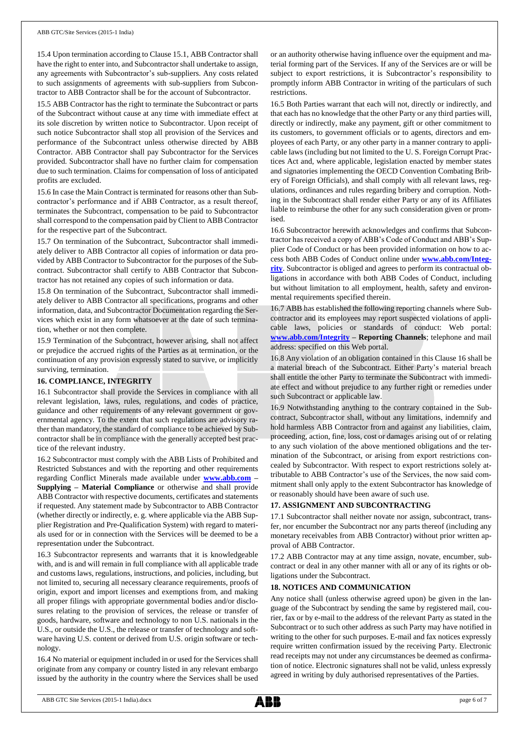15.4 Upon termination according to Clause 15.1, ABB Contractor shall have the right to enter into, and Subcontractor shall undertake to assign, any agreements with Subcontractor's sub-suppliers. Any costs related to such assignments of agreements with sub-suppliers from Subcontractor to ABB Contractor shall be for the account of Subcontractor.

15.5 ABB Contractor has the right to terminate the Subcontract or parts of the Subcontract without cause at any time with immediate effect at its sole discretion by written notice to Subcontractor. Upon receipt of such notice Subcontractor shall stop all provision of the Services and performance of the Subcontract unless otherwise directed by ABB Contractor. ABB Contractor shall pay Subcontractor for the Services provided. Subcontractor shall have no further claim for compensation due to such termination. Claims for compensation of loss of anticipated profits are excluded.

15.6 In case the Main Contract is terminated for reasons other than Subcontractor's performance and if ABB Contractor, as a result thereof, terminates the Subcontract, compensation to be paid to Subcontractor shall correspond to the compensation paid by Client to ABB Contractor for the respective part of the Subcontract.

15.7 On termination of the Subcontract, Subcontractor shall immediately deliver to ABB Contractor all copies of information or data provided by ABB Contractor to Subcontractor for the purposes of the Subcontract. Subcontractor shall certify to ABB Contractor that Subcontractor has not retained any copies of such information or data.

15.8 On termination of the Subcontract, Subcontractor shall immediately deliver to ABB Contractor all specifications, programs and other information, data, and Subcontractor Documentation regarding the Services which exist in any form whatsoever at the date of such termination, whether or not then complete.

15.9 Termination of the Subcontract, however arising, shall not affect or prejudice the accrued rights of the Parties as at termination, or the continuation of any provision expressly stated to survive, or implicitly surviving, termination.

## **16. COMPLIANCE, INTEGRITY**

16.1 Subcontractor shall provide the Services in compliance with all relevant legislation, laws, rules, regulations, and codes of practice, guidance and other requirements of any relevant government or governmental agency. To the extent that such regulations are advisory rather than mandatory, the standard of compliance to be achieved by Subcontractor shall be in compliance with the generally accepted best practice of the relevant industry.

16.2 Subcontractor must comply with the ABB Lists of Prohibited and Restricted Substances and with the reporting and other requirements regarding Conflict Minerals made available under **[www.abb.com](http://www.abb.com/) – Supplying – Material Compliance** or otherwise and shall provide ABB Contractor with respective documents, certificates and statements if requested. Any statement made by Subcontractor to ABB Contractor (whether directly or indirectly, e. g. where applicable via the ABB Supplier Registration and Pre-Qualification System) with regard to materials used for or in connection with the Services will be deemed to be a representation under the Subcontract.

16.3 Subcontractor represents and warrants that it is knowledgeable with, and is and will remain in full compliance with all applicable trade and customs laws, regulations, instructions, and policies, including, but not limited to, securing all necessary clearance requirements, proofs of origin, export and import licenses and exemptions from, and making all proper filings with appropriate governmental bodies and/or disclosures relating to the provision of services, the release or transfer of goods, hardware, software and technology to non U.S. nationals in the U.S., or outside the U.S., the release or transfer of technology and software having U.S. content or derived from U.S. origin software or technology.

16.4 No material or equipment included in or used for the Services shall originate from any company or country listed in any relevant embargo issued by the authority in the country where the Services shall be used

or an authority otherwise having influence over the equipment and material forming part of the Services. If any of the Services are or will be subject to export restrictions, it is Subcontractor's responsibility to promptly inform ABB Contractor in writing of the particulars of such restrictions.

16.5 Both Parties warrant that each will not, directly or indirectly, and that each has no knowledge that the other Party or any third parties will, directly or indirectly, make any payment, gift or other commitment to its customers, to government officials or to agents, directors and employees of each Party, or any other party in a manner contrary to applicable laws (including but not limited to the U. S. Foreign Corrupt Practices Act and, where applicable, legislation enacted by member states and signatories implementing the OECD Convention Combating Bribery of Foreign Officials), and shall comply with all relevant laws, regulations, ordinances and rules regarding bribery and corruption. Nothing in the Subcontract shall render either Party or any of its Affiliates liable to reimburse the other for any such consideration given or promised.

16.6 Subcontractor herewith acknowledges and confirms that Subcontractor has received a copy of ABB's Code of Conduct and ABB's Supplier Code of Conduct or has been provided information on how to access both ABB Codes of Conduct online under **[www.abb.com/Integ](http://www.abb.com/Integrity)[rity](http://www.abb.com/Integrity)**. Subcontractor is obliged and agrees to perform its contractual obligations in accordance with both ABB Codes of Conduct, including but without limitation to all employment, health, safety and environmental requirements specified therein.

16.7 ABB has established the following reporting channels where Subcontractor and its employees may report suspected violations of applicable laws, policies or standards of conduct: Web portal: **[www.abb.com/Integrity](http://www.abb.com/Integrity) – Reporting Channels**; telephone and mail address: specified on this Web portal.

16.8 Any violation of an obligation contained in this Clause 16 shall be a material breach of the Subcontract. Either Party's material breach shall entitle the other Party to terminate the Subcontract with immediate effect and without prejudice to any further right or remedies under such Subcontract or applicable law.

16.9 Notwithstanding anything to the contrary contained in the Subcontract, Subcontractor shall, without any limitations, indemnify and hold harmless ABB Contractor from and against any liabilities, claim, proceeding, action, fine, loss, cost or damages arising out of or relating to any such violation of the above mentioned obligations and the termination of the Subcontract, or arising from export restrictions concealed by Subcontractor. With respect to export restrictions solely attributable to ABB Contractor's use of the Services, the now said commitment shall only apply to the extent Subcontractor has knowledge of or reasonably should have been aware of such use.

## **17. ASSIGNMENT AND SUBCONTRACTING**

17.1 Subcontractor shall neither novate nor assign, subcontract, transfer, nor encumber the Subcontract nor any parts thereof (including any monetary receivables from ABB Contractor) without prior written approval of ABB Contractor.

17.2 ABB Contractor may at any time assign, novate, encumber, subcontract or deal in any other manner with all or any of its rights or obligations under the Subcontract.

#### **18. NOTICES AND COMMUNICATION**

Any notice shall (unless otherwise agreed upon) be given in the language of the Subcontract by sending the same by registered mail, courier, fax or by e-mail to the address of the relevant Party as stated in the Subcontract or to such other address as such Party may have notified in writing to the other for such purposes. E-mail and fax notices expressly require written confirmation issued by the receiving Party. Electronic read receipts may not under any circumstances be deemed as confirmation of notice. Electronic signatures shall not be valid, unless expressly agreed in writing by duly authorised representatives of the Parties.